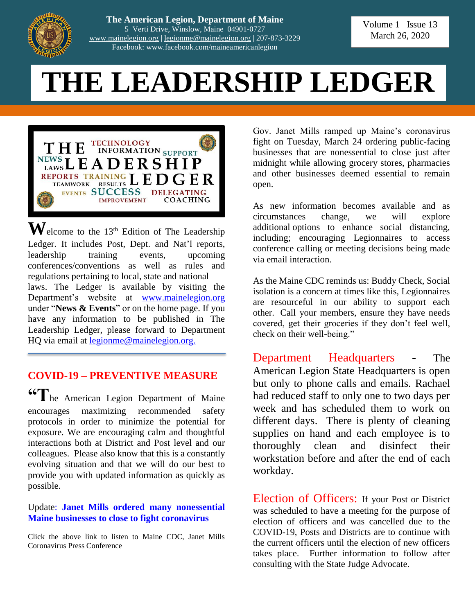

**The American Legion, Department of Maine** 5 Verti Drive, Winslow, Maine 04901-0727 [www.mainelegion.org](http://www.mainelegion.org/) | [legionme@mainelegion.org](mailto:legionme@mainelegion.org) | 207-873-3229 Facebook: www.facebook.com/maineamericanlegion

Volume 1 Issue 13 March 26, 2020

# **THE LEADERSHIP LEDGER**



 $\mathbf{W}$ elcome to the 13<sup>th</sup> Edition of The Leadership Ledger. It includes Post, Dept. and Nat'l reports, leadership training events, upcoming conferences/conventions as well as rules and regulations pertaining to local, state and national laws. The Ledger is available by visiting the Department's website at [www.mainelegion.org](http://www.mainelegion.org/) under "**News & Events**" or on the home page. If you have any information to be published in The Leadership Ledger, please forward to Department HQ via email at <u>legionme@mainelegion.org.</u>

# **COVID-19 – PREVENTIVE MEASURE**

**"T**he American Legion Department of Maine encourages maximizing recommended safety protocols in order to minimize the potential for exposure. We are encouraging calm and thoughtful interactions both at District and Post level and our colleagues. Please also know that this is a constantly evolving situation and that we will do our best to provide you with updated information as quickly as possible.

### Update: **[Janet Mills ordered many nonessential](https://bangordailynews.com/2020/03/24/politics/janet-mills-orders-nonessential-maine-businesses-to-close-to-fight-coronavirus/)  [Maine businesses to close to fight coronavirus](https://bangordailynews.com/2020/03/24/politics/janet-mills-orders-nonessential-maine-businesses-to-close-to-fight-coronavirus/)**

Click the above link to listen to Maine CDC, Janet Mills Coronavirus Press Conference

Gov. Janet Mills ramped up Maine's coronavirus fight on Tuesday, March 24 ordering public-facing businesses that are nonessential to close just after midnight while allowing grocery stores, pharmacies and other businesses deemed essential to remain open.

As new information becomes available and as circumstances change, we will explore additional options to enhance social distancing, including; encouraging Legionnaires to access conference calling or meeting decisions being made via email interaction.

As the Maine CDC reminds us: Buddy Check, Social isolation is a concern at times like this, Legionnaires are resourceful in our ability to support each other. Call your members, ensure they have needs covered, get their groceries if they don't feel well, check on their well-being."

Department Headquarters - The American Legion State Headquarters is open but only to phone calls and emails. Rachael had reduced staff to only one to two days per week and has scheduled them to work on different days. There is plenty of cleaning supplies on hand and each employee is to thoroughly clean and disinfect their workstation before and after the end of each workday.

Election of Officers: If your Post or District was scheduled to have a meeting for the purpose of election of officers and was cancelled due to the COVID-19, Posts and Districts are to continue with the current officers until the election of new officers takes place. Further information to follow after consulting with the State Judge Advocate.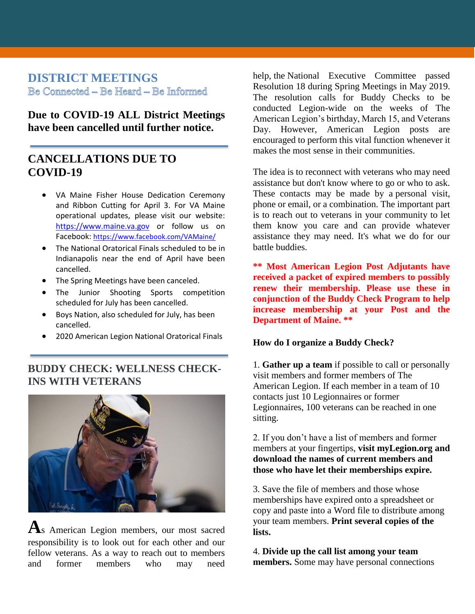# **DISTRICT MEETINGS** Be Connected - Be Heard - Be Informed

**Due to COVID-19 ALL District Meetings have been cancelled until further notice.**

## **CANCELLATIONS DUE TO COVID-19**

- VA Maine Fisher House Dedication Ceremony and Ribbon Cutting for April 3. For VA Maine operational updates, please visit our website: [https://www.maine.va.gov](https://www.maine.va.gov/) or follow us on Facebook: <https://www.facebook.com/VAMaine/>
- The National Oratorical Finals scheduled to be in Indianapolis near the end of April have been cancelled.
- The Spring Meetings have been canceled.
- The Junior Shooting Sports competition scheduled for July has been cancelled.
- Boys Nation, also scheduled for July, has been cancelled.
- 2020 American Legion National Oratorical Finals

## **BUDDY CHECK: WELLNESS CHECK-INS WITH VETERANS**



**A**s American Legion members, our most sacred responsibility is to look out for each other and our fellow veterans. As a way to reach out to members and former members who may need

help, the National Executive Committee passed Resolution 18 during Spring Meetings in May 2019. The resolution calls for Buddy Checks to be conducted Legion-wide on the weeks of The American Legion's birthday, March 15, and Veterans Day. However, American Legion posts are encouraged to perform this vital function whenever it makes the most sense in their communities.

The idea is to reconnect with veterans who may need assistance but don't know where to go or who to ask. These contacts may be made by a personal visit, phone or email, or a combination. The important part is to reach out to veterans in your community to let them know you care and can provide whatever assistance they may need. It's what we do for our battle buddies.

**\*\* Most American Legion Post Adjutants have received a packet of expired members to possibly renew their membership. Please use these in conjunction of the Buddy Check Program to help increase membership at your Post and the Department of Maine. \*\***

#### **How do I organize a Buddy Check?**

1. **Gather up a team** if possible to call or personally visit members and former members of The American Legion. If each member in a team of 10 contacts just 10 Legionnaires or former Legionnaires, 100 veterans can be reached in one sitting.

2. If you don't have a list of members and former members at your fingertips, **visit myLegion.org and download the names of current members and those who have let their memberships expire.**

3. Save the file of members and those whose memberships have expired onto a spreadsheet or copy and paste into a Word file to distribute among your team members. **Print several copies of the lists.**

4. **Divide up the call list among your team members.** Some may have personal connections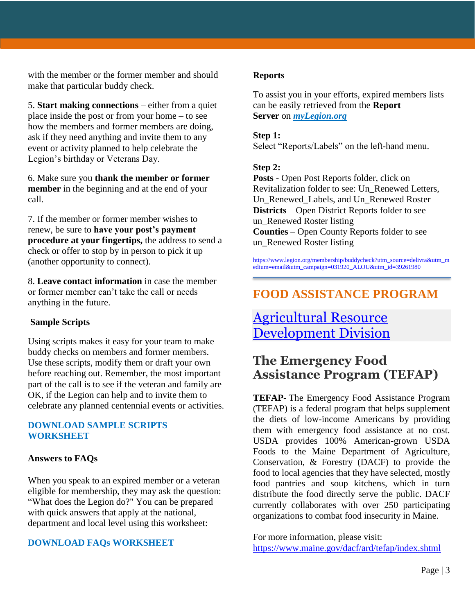with the member or the former member and should make that particular buddy check.

5. **Start making connections** – either from a quiet place inside the post or from your home – to see how the members and former members are doing, ask if they need anything and invite them to any event or activity planned to help celebrate the Legion's birthday or Veterans Day.

6. Make sure you **thank the member or former member** in the beginning and at the end of your call.

7. If the member or former member wishes to renew, be sure to **have your post's payment procedure at your fingertips,** the address to send a check or offer to stop by in person to pick it up (another opportunity to connect).

8. **Leave contact information** in case the member or former member can't take the call or needs anything in the future.

### **Sample Scripts**

Using scripts makes it easy for your team to make buddy checks on members and former members. Use these scripts, modify them or draft your own before reaching out. Remember, the most important part of the call is to see if the veteran and family are OK, if the Legion can help and to invite them to celebrate any planned centennial events or activities.

### **[DOWNLOAD SAMPLE SCRIPTS](https://www.legion.org/publications/247460/buddy-check-event-toolkit)  [WORKSHEET](https://www.legion.org/publications/247460/buddy-check-event-toolkit)**

### **Answers to FAQs**

When you speak to an expired member or a veteran eligible for membership, they may ask the question: "What does the Legion do?" You can be prepared with quick answers that apply at the national, department and local level using this worksheet:

### **[DOWNLOAD FAQs WORKSHEET](https://www.legion.org/sites/legion.org/files/legion/documents/Buddy%20Check%20FAQs.pdf)**

#### **Reports**

To assist you in your efforts, expired members lists can be easily retrieved from the **Report Server** on *[myLegion.org](http://www.mylegion.org/)*

### **Step 1:**

Select "Reports/Labels" on the left-hand menu.

### **Step 2:**

**Posts** - Open Post Reports folder, click on Revitalization folder to see: Un\_Renewed Letters, Un Renewed Labels, and Un Renewed Roster **Districts** – Open District Reports folder to see un Renewed Roster listing **Counties** – Open County Reports folder to see un\_Renewed Roster listing

[https://www.legion.org/membership/buddycheck?utm\\_source=delivra&utm\\_m](https://www.legion.org/membership/buddycheck?utm_source=delivra&utm_medium=email&utm_campaign=031920_ALOU&utm_id=39261980) [edium=email&utm\\_campaign=031920\\_ALOU&utm\\_id=39261980](https://www.legion.org/membership/buddycheck?utm_source=delivra&utm_medium=email&utm_campaign=031920_ALOU&utm_id=39261980)

# **FOOD ASSISTANCE PROGRAM**

# [Agricultural Resource](https://www.maine.gov/dacf/ard/tefap/index.shtml)  [Development Division](https://www.maine.gov/dacf/ard/tefap/index.shtml)

# **The Emergency Food Assistance Program (TEFAP)**

**TEFAP-** The Emergency Food Assistance Program (TEFAP) is a federal program that helps supplement the diets of low-income Americans by providing them with emergency food assistance at no cost. USDA provides 100% American-grown USDA Foods to the Maine Department of Agriculture, Conservation, & Forestry (DACF) to provide the food to local agencies that they have selected, mostly food pantries and soup kitchens, which in turn distribute the food directly serve the public. DACF currently collaborates with over 250 participating organizations to combat food insecurity in Maine.

For more information, please visit: <https://www.maine.gov/dacf/ard/tefap/index.shtml>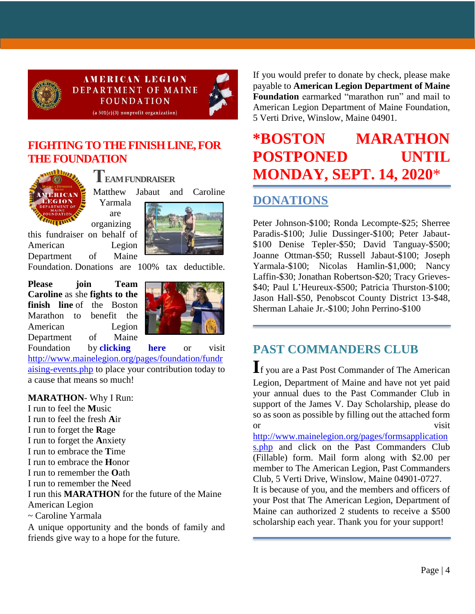

**AMERICAN LEGION DEPARTMENT OF MAINE FOUNDATION**  $(a 501(c)(3)$  nonprofit organization)



## **[FIGHTING TO THE FINISH LINE, FOR](https://www.gofundme.com/f/5hx779-a-cause-i-care-about-needs-help?utm_source=customer&utm_medium=copy_link&utm_campaign=p_cf+share-flow-1)  [THE FOUNDATION](https://www.gofundme.com/f/5hx779-a-cause-i-care-about-needs-help?utm_source=customer&utm_medium=copy_link&utm_campaign=p_cf+share-flow-1)**



**TEAM FUNDRAISER** Matthew Jabaut and Caroline Yarmala are





Foundation. Donations are 100% tax deductible.

**Please join Team Caroline** as she **fights to the finish line** of the Boston Marathon to benefit the American Legion Department of Maine



Foundation by **[clicking here](https://www.gofundme.com/f/5hx779-a-cause-i-care-about-needs-help?utm_source=customer&utm_medium=copy_link&utm_campaign=p_cf+share-flow-1)** or visit [http://www.mainelegion.org/pages/foundation/fundr](http://www.mainelegion.org/pages/foundation/fundraising-events.php) [aising-events.php](http://www.mainelegion.org/pages/foundation/fundraising-events.php) to place your contribution today to a cause that means so much!

### **MARATHON**- Why I Run:

I run to feel the **M**usic I run to feel the fresh **A**ir I run to forget the **R**age I run to forget the **A**nxiety I run to embrace the **T**ime I run to embrace the **H**onor I run to remember the **O**ath I run to remember the **N**eed I run this **MARATHON** for the future of the Maine American Legion ~ Caroline Yarmala

A unique opportunity and the bonds of family and friends give way to a hope for the future.

If you would prefer to donate by check, please make payable to **American Legion Department of Maine Foundation** earmarked "marathon run" and mail to American Legion Department of Maine Foundation, 5 Verti Drive, Winslow, Maine 04901.

# **\*BOSTON MARATHON POSTPONED UNTIL MONDAY, SEPT. 14, 2020**\*

# **DONATIONS**

Peter Johnson-\$100; Ronda Lecompte-\$25; Sherree Paradis-\$100; Julie Dussinger-\$100; Peter Jabaut- \$100 Denise Tepler-\$50; David Tanguay-\$500; Joanne Ottman-\$50; Russell Jabaut-\$100; Joseph Yarmala-\$100; Nicolas Hamlin-\$1,000; Nancy Laffin-\$30; Jonathan Robertson-\$20; Tracy Grieves- \$40; Paul L'Heureux-\$500; Patricia Thurston-\$100; Jason Hall-\$50, Penobscot County District 13-\$48, Sherman Lahaie Jr.-\$100; John Perrino-\$100

# **PAST COMMANDERS CLUB**

**I**f you are a Past Post Commander of The American Legion, Department of Maine and have not yet paid your annual dues to the Past Commander Club in support of the James V. Day Scholarship, please do so as soon as possible by filling out the attached form or visit

[http://www.mainelegion.org/pages/formsapplication](http://www.mainelegion.org/pages/formsapplications.php) [s.php](http://www.mainelegion.org/pages/formsapplications.php) and click on the Past Commanders Club (Fillable) form. Mail form along with \$2.00 per member to The American Legion, Past Commanders Club, 5 Verti Drive, Winslow, Maine 04901-0727.

It is because of you, and the members and officers of your Post that The American Legion, Department of Maine can authorized 2 students to receive a \$500 scholarship each year. Thank you for your support!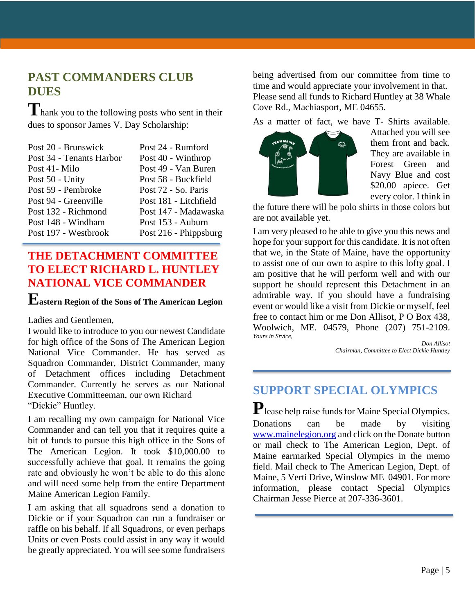# **PAST COMMANDERS CLUB DUES**

**T**hank you to the following posts who sent in their dues to sponsor James V. Day Scholarship:

| Post 24 - Rumford     |
|-----------------------|
| Post 40 - Winthrop    |
| Post 49 - Van Buren   |
| Post 58 - Buckfield   |
| Post 72 - So. Paris   |
| Post 181 - Litchfield |
| Post 147 - Madawaska  |
| Post 153 - Auburn     |
| Post 216 - Phippsburg |
|                       |

# **THE DETACHMENT COMMITTEE TO ELECT RICHARD L. HUNTLEY NATIONAL VICE COMMANDER**

# **Eastern Region of the Sons of The American Legion**

Ladies and Gentlemen,

I would like to introduce to you our newest Candidate for high office of the Sons of The American Legion National Vice Commander. He has served as Squadron Commander, District Commander, many of Detachment offices including Detachment Commander. Currently he serves as our National Executive Committeeman, our own Richard "Dickie" Huntley.

I am recalling my own campaign for National Vice Commander and can tell you that it requires quite a bit of funds to pursue this high office in the Sons of The American Legion. It took \$10,000.00 to successfully achieve that goal. It remains the going rate and obviously he won't be able to do this alone and will need some help from the entire Department Maine American Legion Family.

I am asking that all squadrons send a donation to Dickie or if your Squadron can run a fundraiser or raffle on his behalf. If all Squadrons, or even perhaps Units or even Posts could assist in any way it would be greatly appreciated. You will see some fundraisers

being advertised from our committee from time to time and would appreciate your involvement in that. Please send all funds to Richard Huntley at 38 Whale Cove Rd., Machiasport, ME 04655.

As a matter of fact, we have T- Shirts available.



Attached you will see them front and back. They are available in Forest Green and Navy Blue and cost \$20.00 apiece. Get every color. I think in

the future there will be polo shirts in those colors but are not available yet.

I am very pleased to be able to give you this news and hope for your support for this candidate. It is not often that we, in the State of Maine, have the opportunity to assist one of our own to aspire to this lofty goal. I am positive that he will perform well and with our support he should represent this Detachment in an admirable way. If you should have a fundraising event or would like a visit from Dickie or myself, feel free to contact him or me Don Allisot, P O Box 438, Woolwich, ME. 04579, Phone (207) 751-2109. *Yours in Srvice,*

*Don Allisot Chairman, Committee to Elect Dickie Huntley*

# **SUPPORT SPECIAL OLYMPICS**

**P**lease help raise funds for Maine Special Olympics. Donations can be made by visiting [www.mainelegion.org](http://www.mainelegion.org/) and click on the Donate button or mail check to The American Legion, Dept. of Maine earmarked Special Olympics in the memo field. Mail check to The American Legion, Dept. of Maine, 5 Verti Drive, Winslow ME 04901. For more information, please contact Special Olympics Chairman Jesse Pierce at 207-336-3601.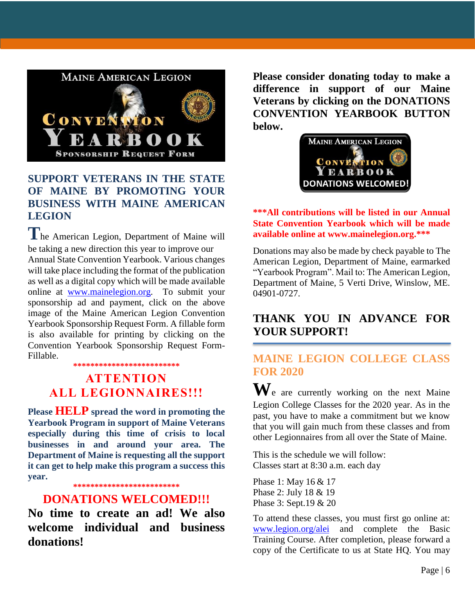

# **SUPPORT VETERANS IN THE STATE OF MAINE BY PROMOTING YOUR BUSINESS WITH MAINE AMERICAN LEGION**

**T**he American Legion, Department of Maine will be taking a new direction this year to improve our Annual State Convention Yearbook. Various changes will take place including the format of the publication as well as a digital copy which will be made available online at [www.mainelegion.org.](http://www.mainelegion.org/) To submit your sponsorship ad and payment, click on the above image of the Maine American Legion Convention Yearbook Sponsorship Request Form. A fillable form is also available for printing by clicking on the Convention Yearbook Sponsorship Request Form-Fillable.

#### **\*\*\*\*\*\*\*\*\*\*\*\*\*\*\*\*\*\*\*\*\*\*\*\*\***

# **ATTENTION ALL LEGIONNAIRES!!!**

**Please HELP spread the word in promoting the Yearbook Program in support of Maine Veterans especially during this time of crisis to local businesses in and around your area. The Department of Maine is requesting all the support it can get to help make this program a success this year.** 

**\*\*\*\*\*\*\*\*\*\*\*\*\*\*\*\*\*\*\*\*\*\*\*\*\***

### **DONATIONS WELCOMED!!!**

**No time to create an ad! We also welcome individual and business donations!**

**Please consider donating today to make a difference in support of our Maine Veterans by clicking on the DONATIONS CONVENTION YEARBOOK BUTTON below.**



### **\*\*\*All contributions will be listed in our Annual State Convention Yearbook which will be made available online at www.mainelegion.org.\*\*\***

Donations may also be made by check payable to The American Legion, Department of Maine, earmarked "Yearbook Program". Mail to: The American Legion, Department of Maine, 5 Verti Drive, Winslow, ME. 04901-0727.

# **THANK YOU IN ADVANCE FOR YOUR SUPPORT!**

# **MAINE LEGION COLLEGE CLASS FOR 2020**

**W**e are currently working on the next Maine Legion College Classes for the 2020 year. As in the past, you have to make a commitment but we know that you will gain much from these classes and from other Legionnaires from all over the State of Maine.

This is the schedule we will follow: Classes start at 8:30 a.m. each day

Phase 1: May 16 & 17 Phase 2: July 18 & 19 Phase 3: Sept.19 & 20

To attend these classes, you must first go online at: [www.legion.org/alei](http://www.legion.org/alei) and complete the Basic Training Course. After completion, please forward a copy of the Certificate to us at State HQ. You may